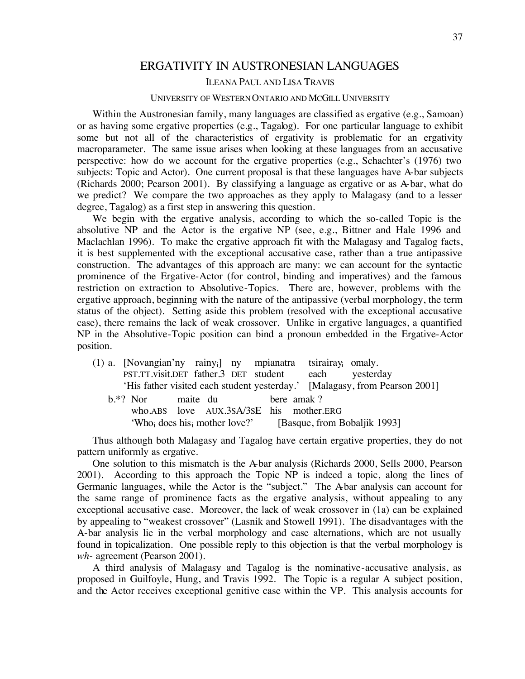## ERGATIVITY IN AUSTRONESIAN LANGUAGES

## ILEANA PAUL AND LISA TRAVIS

## UNIVERSITY OF WESTERN ONTARIO AND MCGILL UNIVERSITY

Within the Austronesian family, many languages are classified as ergative (e.g., Samoan) or as having some ergative properties (e.g., Tagalog). For one particular language to exhibit some but not all of the characteristics of ergativity is problematic for an ergativity macroparameter. The same issue arises when looking at these languages from an accusative perspective: how do we account for the ergative properties (e.g., Schachter's (1976) two subjects: Topic and Actor). One current proposal is that these languages have A-bar subjects (Richards 2000; Pearson 2001). By classifying a language as ergative or as A-bar, what do we predict? We compare the two approaches as they apply to Malagasy (and to a lesser degree, Tagalog) as a first step in answering this question.

We begin with the ergative analysis, according to which the so-called Topic is the absolutive NP and the Actor is the ergative NP (see, e.g., Bittner and Hale 1996 and Maclachlan 1996). To make the ergative approach fit with the Malagasy and Tagalog facts, it is best supplemented with the exceptional accusative case, rather than a true antipassive construction. The advantages of this approach are many: we can account for the syntactic prominence of the Ergative-Actor (for control, binding and imperatives) and the famous restriction on extraction to Absolutive-Topics. There are, however, problems with the ergative approach, beginning with the nature of the antipassive (verbal morphology, the term status of the object). Setting aside this problem (resolved with the exceptional accusative case), there remains the lack of weak crossover. Unlike in ergative languages, a quantified NP in the Absolutive-Topic position can bind a pronoun embedded in the Ergative-Actor position.

(1) a. [Novangian'ny rainyi] ny mpianatra tsirairayi omaly. PST.TT.visit.DET father.3 DET student each yesterday 'His father visited each student yesterday.' [Malagasy, from Pearson 2001] b.\*? Nor maite du bere amak ? who.ABS love AUX.3SA/3SE his mother.ERG 'Who<sub>i</sub> does his<sub>i</sub> mother love?' [Basque, from Bobaljik 1993]

Thus although both Malagasy and Tagalog have certain ergative properties, they do not pattern uniformly as ergative.

One solution to this mismatch is the A-bar analysis (Richards 2000, Sells 2000, Pearson 2001). According to this approach the Topic NP is indeed a topic, along the lines of Germanic languages, while the Actor is the "subject." The A-bar analysis can account for the same range of prominence facts as the ergative analysis, without appealing to any exceptional accusative case. Moreover, the lack of weak crossover in (1a) can be explained by appealing to "weakest crossover" (Lasnik and Stowell 1991). The disadvantages with the A-bar analysis lie in the verbal morphology and case alternations, which are not usually found in topicalization. One possible reply to this objection is that the verbal morphology is *wh*- agreement (Pearson 2001).

A third analysis of Malagasy and Tagalog is the nominative-accusative analysis, as proposed in Guilfoyle, Hung, and Travis 1992. The Topic is a regular A subject position, and the Actor receives exceptional genitive case within the VP. This analysis accounts for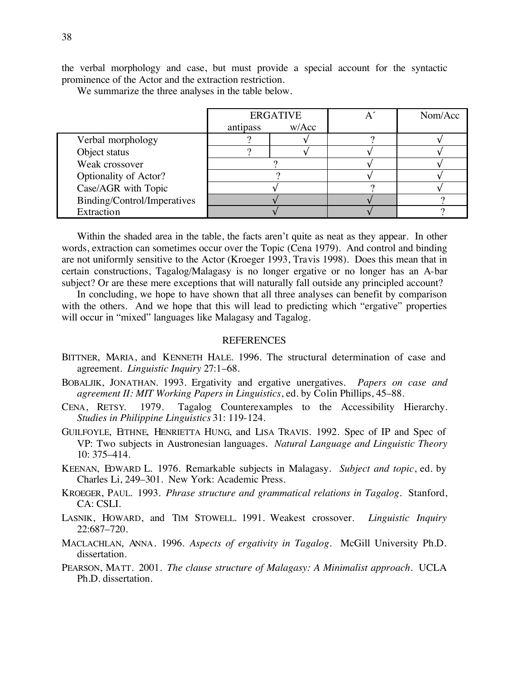the verbal morphology and case, but must provide a special account for the syntactic prominence of the Actor and the extraction restriction.

We summarize the three analyses in the table below.

|                             | <b>ERGATIVE</b> |       | Nom/Acc |
|-----------------------------|-----------------|-------|---------|
|                             | antipass        | W/Acc |         |
| Verbal morphology           |                 |       |         |
| Object status               |                 |       |         |
| Weak crossover              |                 |       |         |
| Optionality of Actor?       |                 |       |         |
| Case/AGR with Topic         |                 |       |         |
| Binding/Control/Imperatives |                 |       |         |
| Extraction                  |                 |       |         |

Within the shaded area in the table, the facts aren't quite as neat as they appear. In other words, extraction can sometimes occur over the Topic (Cena 1979). And control and binding are not uniformly sensitive to the Actor (Kroeger 1993, Travis 1998). Does this mean that in certain constructions, Tagalog/Malagasy is no longer ergative or no longer has an A-bar subject? Or are these mere exceptions that will naturally fall outside any principled account?

In concluding, we hope to have shown that all three analyses can benefit by comparison with the others. And we hope that this will lead to predicting which "ergative" properties will occur in "mixed" languages like Malagasy and Tagalog.

## **REFERENCES**

- BITTNER, MARIA, and KENNETH HALE. 1996. The structural determination of case and agreement. *Linguistic Inquiry* 27:1–68.
- BOBALJIK, JONATHAN. 1993. Ergativity and ergative unergatives. *Papers on case and agreement II: MIT Working Papers in Linguistics*, ed. by Colin Phillips, 45–88.
- CENA, RETSY. 1979. Tagalog Counterexamples to the Accessibility Hierarchy. *Studies in Philippine Linguistics* 31: 119-124.
- GUILFOYLE, EITHNE, HENRIETTA HUNG, and LISA TRAVIS. 1992. Spec of IP and Spec of VP: Two subjects in Austronesian languages. *Natural Language and Linguistic Theory*  10: 375–414.
- KEENAN, EDWARD L. 1976. Remarkable subjects in Malagasy. *Subject and topic*, ed. by Charles Li, 249–301. New York: Academic Press.
- KROEGER, PAUL. 1993. *Phrase structure and grammatical relations in Tagalog*. Stanford, CA: CSLI.
- LASNIK, HOWARD, and TIM STOWELL. 1991. Weakest crossover. *Linguistic Inquiry* 22:687–720.
- MACLACHLAN, ANNA. 1996. *Aspects of ergativity in Tagalog*. McGill University Ph.D. dissertation.
- PEARSON, MATT. 2001. *The clause structure of Malagasy: A Minimalist approach*. UCLA Ph.D. dissertation.